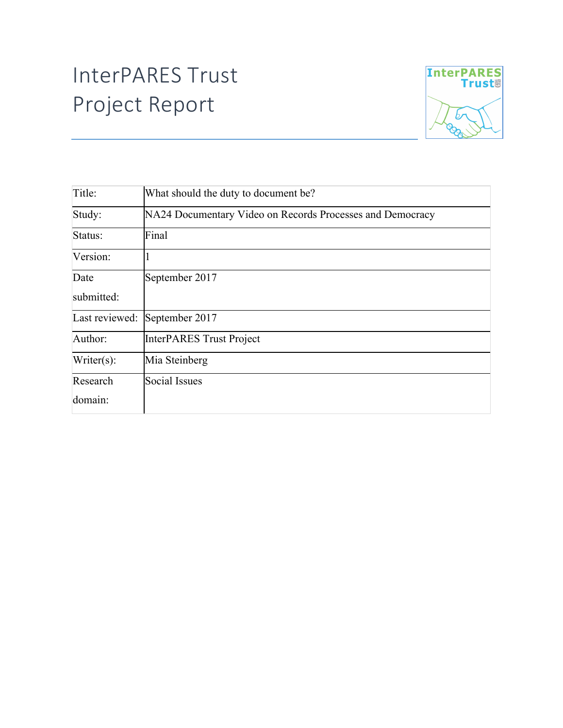## InterPARES Trust Project Report



| Title:         | What should the duty to document be?                      |
|----------------|-----------------------------------------------------------|
| Study:         | NA24 Documentary Video on Records Processes and Democracy |
| Status:        | Final                                                     |
| Version:       |                                                           |
| Date           | September 2017                                            |
| submitted:     |                                                           |
| Last reviewed: | September 2017                                            |
| Author:        | InterPARES Trust Project                                  |
| $Writer(s)$ :  | Mia Steinberg                                             |
| Research       | <b>Social Issues</b>                                      |
| domain:        |                                                           |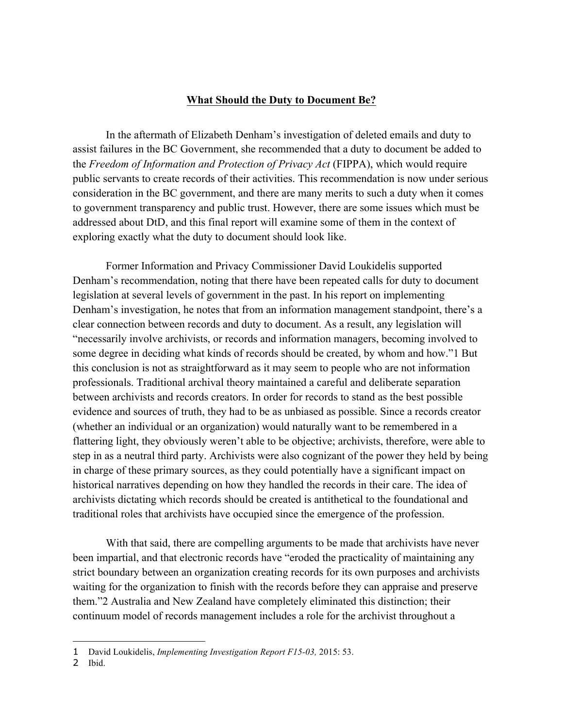## **What Should the Duty to Document Be?**

In the aftermath of Elizabeth Denham's investigation of deleted emails and duty to assist failures in the BC Government, she recommended that a duty to document be added to the *Freedom of Information and Protection of Privacy Act* (FIPPA), which would require public servants to create records of their activities. This recommendation is now under serious consideration in the BC government, and there are many merits to such a duty when it comes to government transparency and public trust. However, there are some issues which must be addressed about DtD, and this final report will examine some of them in the context of exploring exactly what the duty to document should look like.

Former Information and Privacy Commissioner David Loukidelis supported Denham's recommendation, noting that there have been repeated calls for duty to document legislation at several levels of government in the past. In his report on implementing Denham's investigation, he notes that from an information management standpoint, there's a clear connection between records and duty to document. As a result, any legislation will "necessarily involve archivists, or records and information managers, becoming involved to some degree in deciding what kinds of records should be created, by whom and how."1 But this conclusion is not as straightforward as it may seem to people who are not information professionals. Traditional archival theory maintained a careful and deliberate separation between archivists and records creators. In order for records to stand as the best possible evidence and sources of truth, they had to be as unbiased as possible. Since a records creator (whether an individual or an organization) would naturally want to be remembered in a flattering light, they obviously weren't able to be objective; archivists, therefore, were able to step in as a neutral third party. Archivists were also cognizant of the power they held by being in charge of these primary sources, as they could potentially have a significant impact on historical narratives depending on how they handled the records in their care. The idea of archivists dictating which records should be created is antithetical to the foundational and traditional roles that archivists have occupied since the emergence of the profession.

With that said, there are compelling arguments to be made that archivists have never been impartial, and that electronic records have "eroded the practicality of maintaining any strict boundary between an organization creating records for its own purposes and archivists waiting for the organization to finish with the records before they can appraise and preserve them."2 Australia and New Zealand have completely eliminated this distinction; their continuum model of records management includes a role for the archivist throughout a

<sup>1</sup> David Loukidelis, *Implementing Investigation Report F15-03,* 2015: 53.

<sup>2</sup> Ibid.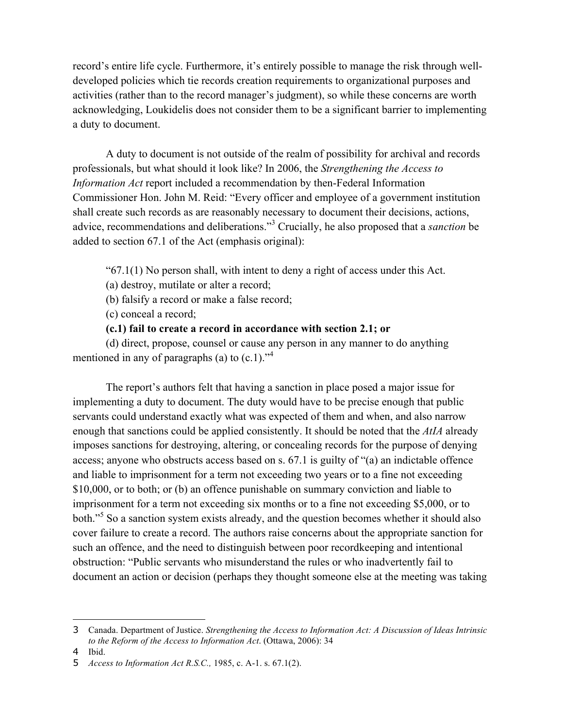record's entire life cycle. Furthermore, it's entirely possible to manage the risk through welldeveloped policies which tie records creation requirements to organizational purposes and activities (rather than to the record manager's judgment), so while these concerns are worth acknowledging, Loukidelis does not consider them to be a significant barrier to implementing a duty to document.

A duty to document is not outside of the realm of possibility for archival and records professionals, but what should it look like? In 2006, the *Strengthening the Access to Information Act* report included a recommendation by then-Federal Information Commissioner Hon. John M. Reid: "Every officer and employee of a government institution shall create such records as are reasonably necessary to document their decisions, actions, advice, recommendations and deliberations."3 Crucially, he also proposed that a *sanction* be added to section 67.1 of the Act (emphasis original):

" $67.1(1)$  No person shall, with intent to deny a right of access under this Act.

(a) destroy, mutilate or alter a record;

(b) falsify a record or make a false record;

(c) conceal a record;

## **(c.1) fail to create a record in accordance with section 2.1; or**

(d) direct, propose, counsel or cause any person in any manner to do anything mentioned in any of paragraphs (a) to  $(c.1)$ .<sup>24</sup>

The report's authors felt that having a sanction in place posed a major issue for implementing a duty to document. The duty would have to be precise enough that public servants could understand exactly what was expected of them and when, and also narrow enough that sanctions could be applied consistently. It should be noted that the *AtIA* already imposes sanctions for destroying, altering, or concealing records for the purpose of denying access; anyone who obstructs access based on s. 67.1 is guilty of "(a) an indictable offence and liable to imprisonment for a term not exceeding two years or to a fine not exceeding \$10,000, or to both; or (b) an offence punishable on summary conviction and liable to imprisonment for a term not exceeding six months or to a fine not exceeding \$5,000, or to both."<sup>5</sup> So a sanction system exists already, and the question becomes whether it should also cover failure to create a record. The authors raise concerns about the appropriate sanction for such an offence, and the need to distinguish between poor recordkeeping and intentional obstruction: "Public servants who misunderstand the rules or who inadvertently fail to document an action or decision (perhaps they thought someone else at the meeting was taking

<sup>3</sup> Canada. Department of Justice. *Strengthening the Access to Information Act: A Discussion of Ideas Intrinsic to the Reform of the Access to Information Act*. (Ottawa, 2006): 34

<sup>4</sup> Ibid.

<sup>5</sup> *Access to Information Act R.S.C.,* 1985, c. A-1. s. 67.1(2).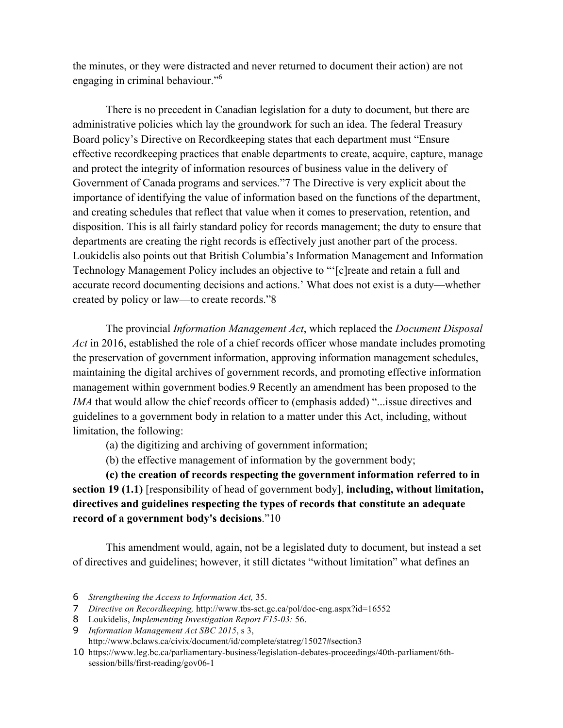the minutes, or they were distracted and never returned to document their action) are not engaging in criminal behaviour."<sup>6</sup>

There is no precedent in Canadian legislation for a duty to document, but there are administrative policies which lay the groundwork for such an idea. The federal Treasury Board policy's Directive on Recordkeeping states that each department must "Ensure effective recordkeeping practices that enable departments to create, acquire, capture, manage and protect the integrity of information resources of business value in the delivery of Government of Canada programs and services."7 The Directive is very explicit about the importance of identifying the value of information based on the functions of the department, and creating schedules that reflect that value when it comes to preservation, retention, and disposition. This is all fairly standard policy for records management; the duty to ensure that departments are creating the right records is effectively just another part of the process. Loukidelis also points out that British Columbia's Information Management and Information Technology Management Policy includes an objective to "'[c]reate and retain a full and accurate record documenting decisions and actions.' What does not exist is a duty—whether created by policy or law—to create records."8

The provincial *Information Management Act*, which replaced the *Document Disposal Act* in 2016, established the role of a chief records officer whose mandate includes promoting the preservation of government information, approving information management schedules, maintaining the digital archives of government records, and promoting effective information management within government bodies.9 Recently an amendment has been proposed to the *IMA* that would allow the chief records officer to (emphasis added) "...issue directives and guidelines to a government body in relation to a matter under this Act, including, without limitation, the following:

- (a) the digitizing and archiving of government information;
- (b) the effective management of information by the government body;

**(c) the creation of records respecting the government information referred to in section 19 (1.1)** [responsibility of head of government body], **including, without limitation, directives and guidelines respecting the types of records that constitute an adequate record of a government body's decisions**."10

This amendment would, again, not be a legislated duty to document, but instead a set of directives and guidelines; however, it still dictates "without limitation" what defines an

<sup>6</sup> *Strengthening the Access to Information Act,* 35.

<sup>7</sup> *Directive on Recordkeeping,* http://www.tbs-sct.gc.ca/pol/doc-eng.aspx?id=16552

<sup>8</sup> Loukidelis, *Implementing Investigation Report F15-03:* 56.

<sup>9</sup> *Information Management Act SBC 2015*, s 3,

http://www.bclaws.ca/civix/document/id/complete/statreg/15027#section3

<sup>10</sup> https://www.leg.bc.ca/parliamentary-business/legislation-debates-proceedings/40th-parliament/6thsession/bills/first-reading/gov06-1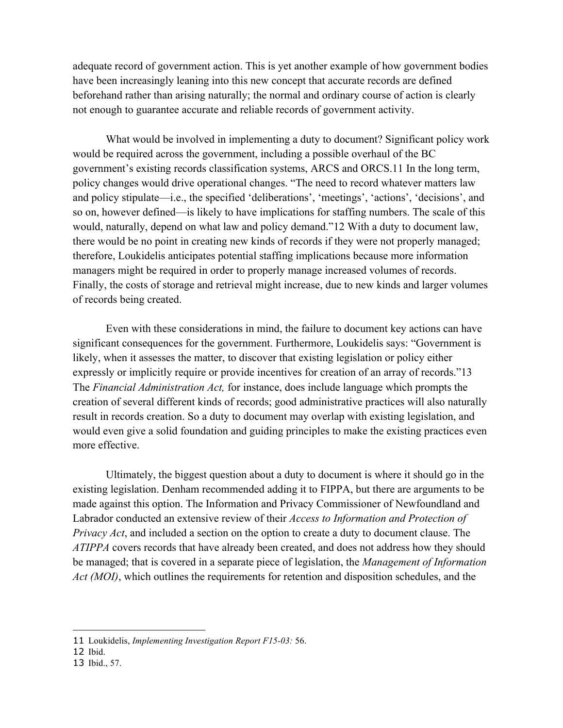adequate record of government action. This is yet another example of how government bodies have been increasingly leaning into this new concept that accurate records are defined beforehand rather than arising naturally; the normal and ordinary course of action is clearly not enough to guarantee accurate and reliable records of government activity.

What would be involved in implementing a duty to document? Significant policy work would be required across the government, including a possible overhaul of the BC government's existing records classification systems, ARCS and ORCS.11 In the long term, policy changes would drive operational changes. "The need to record whatever matters law and policy stipulate—i.e., the specified 'deliberations', 'meetings', 'actions', 'decisions', and so on, however defined—is likely to have implications for staffing numbers. The scale of this would, naturally, depend on what law and policy demand."12 With a duty to document law, there would be no point in creating new kinds of records if they were not properly managed; therefore, Loukidelis anticipates potential staffing implications because more information managers might be required in order to properly manage increased volumes of records. Finally, the costs of storage and retrieval might increase, due to new kinds and larger volumes of records being created.

Even with these considerations in mind, the failure to document key actions can have significant consequences for the government. Furthermore, Loukidelis says: "Government is likely, when it assesses the matter, to discover that existing legislation or policy either expressly or implicitly require or provide incentives for creation of an array of records."13 The *Financial Administration Act,* for instance, does include language which prompts the creation of several different kinds of records; good administrative practices will also naturally result in records creation. So a duty to document may overlap with existing legislation, and would even give a solid foundation and guiding principles to make the existing practices even more effective.

Ultimately, the biggest question about a duty to document is where it should go in the existing legislation. Denham recommended adding it to FIPPA, but there are arguments to be made against this option. The Information and Privacy Commissioner of Newfoundland and Labrador conducted an extensive review of their *Access to Information and Protection of Privacy Act*, and included a section on the option to create a duty to document clause. The *ATIPPA* covers records that have already been created, and does not address how they should be managed; that is covered in a separate piece of legislation, the *Management of Information Act (MOI)*, which outlines the requirements for retention and disposition schedules, and the

<sup>11</sup> Loukidelis, *Implementing Investigation Report F15-03:* 56.

<sup>12</sup> Ibid.

<sup>13</sup> Ibid., 57.